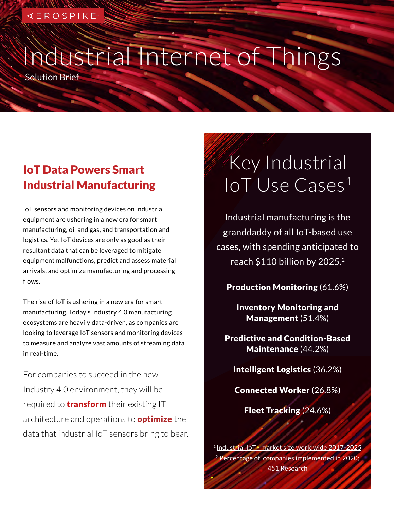### ≪ E R O S P I K <del>E</del>

# Industrial Internet of Things

Solution Brief

### IoT Data Powers Smart Industrial Manufacturing

IoT sensors and monitoring devices on industrial equipment are ushering in a new era for smart manufacturing, oil and gas, and transportation and logistics. Yet IoT devices are only as good as their resultant data that can be leveraged to mitigate equipment malfunctions, predict and assess material arrivals, and optimize manufacturing and processing flows.

The rise of IoT is ushering in a new era for smart manufacturing. Today's Industry 4.0 manufacturing ecosystems are heavily data-driven, as companies are looking to leverage IoT sensors and monitoring devices to measure and analyze vast amounts of streaming data in real-time.

For companies to succeed in the new Industry 4.0 environment, they will be required to **transform** their existing IT architecture and operations to **optimize** the data that industrial IoT sensors bring to bear.

## Key Industrial IoT Use Cases<sup>1</sup>

Industrial manufacturing is the granddaddy of all IoT-based use cases, with spending anticipated to reach \$110 billion by 2025.2

Production Monitoring (61.6%)

Inventory Monitoring and Management (51.4%)

Predictive and Condition-Based Maintenance (44.2%)

Intelligent Logistics (36.2%)

Connected Worker (26.8%)

Fleet Tracking (24.6%)

<sup>1</sup> [Industrial IoT - market size worldwide 2017-2025](https://www.statista.com/statistics/611004/global-industrial-internet-of-things-market-size/) 2 Percentage of companies implemented in 2020; 451 Research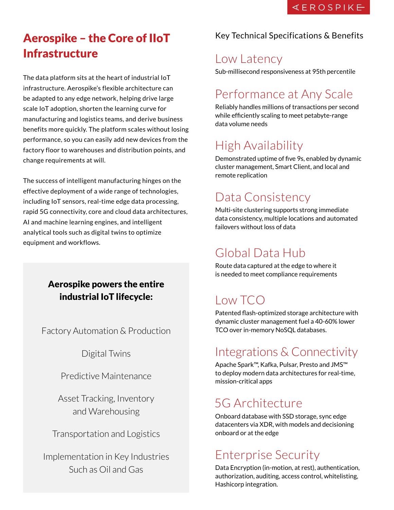### Aerospike – the Core of IIoT Infrastructure

The data platform sits at the heart of industrial IoT infrastructure. Aerospike's flexible architecture can be adapted to any edge network, helping drive large scale IoT adoption, shorten the learning curve for manufacturing and logistics teams, and derive business benefits more quickly. The platform scales without losing performance, so you can easily add new devices from the factory floor to warehouses and distribution points, and change requirements at will.

The success of intelligent manufacturing hinges on the effective deployment of a wide range of technologies, including IoT sensors, real-time edge data processing, rapid 5G connectivity, core and cloud data architectures, AI and machine learning engines, and intelligent analytical tools such as digital twins to optimize equipment and workflows.

### Aerospike powers the entire industrial IoT lifecycle:

Factory Automation & Production

Digital Twins

Predictive Maintenance

Asset Tracking, Inventory and Warehousing

Transportation and Logistics

Implementation in Key Industries Such as Oil and Gas

#### Key Technical Specifications & Benefits

### Low Latency

Sub-millisecond responsiveness at 95th percentile

### Performance at Any Scale

Reliably handles millions of transactions per second while efficiently scaling to meet petabyte-range data volume needs

### High Availability

Demonstrated uptime of five 9s, enabled by dynamic cluster management, Smart Client, and local and remote replication

### Data Consistency

Multi-site clustering supports strong immediate data consistency, multiple locations and automated failovers without loss of data

### Global Data Hub

Route data captured at the edge to where it is needed to meet compliance requirements

### Low TCO

Patented flash-optimized storage architecture with dynamic cluster management fuel a 40-60% lower TCO over in-memory NoSQL databases.

### Integrations & Connectivity

Apache Spark™, Kafka, Pulsar, Presto and JMS™ to deploy modern data architectures for real-time, mission-critical apps

### 5G Architecture

Onboard database with SSD storage, sync edge datacenters via XDR, with models and decisioning onboard or at the edge

### Enterprise Security

Data Encryption (in-motion, at rest), authentication, authorization, auditing, access control, whitelisting, Hashicorp integration.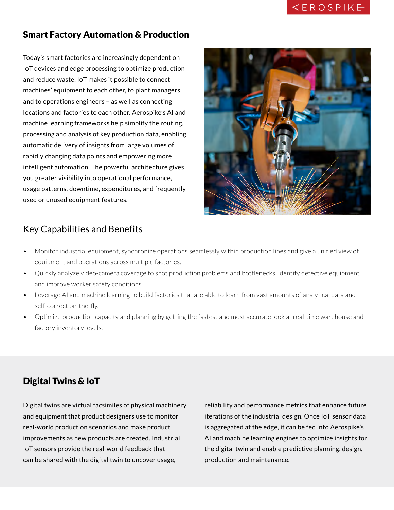#### Smart Factory Automation & Production

Today's smart factories are increasingly dependent on IoT devices and edge processing to optimize production and reduce waste. IoT makes it possible to connect machines' equipment to each other, to plant managers and to operations engineers – as well as connecting locations and factories to each other. Aerospike's AI and machine learning frameworks help simplify the routing, processing and analysis of key production data, enabling automatic delivery of insights from large volumes of rapidly changing data points and empowering more intelligent automation. The powerful architecture gives you greater visibility into operational performance, usage patterns, downtime, expenditures, and frequently used or unused equipment features.



### Key Capabilities and Benefits

- Monitor industrial equipment, synchronize operations seamlessly within production lines and give a unified view of equipment and operations across multiple factories.
- Quickly analyze video-camera coverage to spot production problems and bottlenecks, identify defective equipment and improve worker safety conditions.
- Leverage AI and machine learning to build factories that are able to learn from vast amounts of analytical data and self-correct on-the-fly.
- Optimize production capacity and planning by getting the fastest and most accurate look at real-time warehouse and factory inventory levels.

### Digital Twins & IoT

Digital twins are virtual facsimiles of physical machinery and equipment that product designers use to monitor real-world production scenarios and make product improvements as new products are created. Industrial IoT sensors provide the real-world feedback that can be shared with the digital twin to uncover usage,

reliability and performance metrics that enhance future iterations of the industrial design. Once IoT sensor data is aggregated at the edge, it can be fed into Aerospike's AI and machine learning engines to optimize insights for the digital twin and enable predictive planning, design, production and maintenance.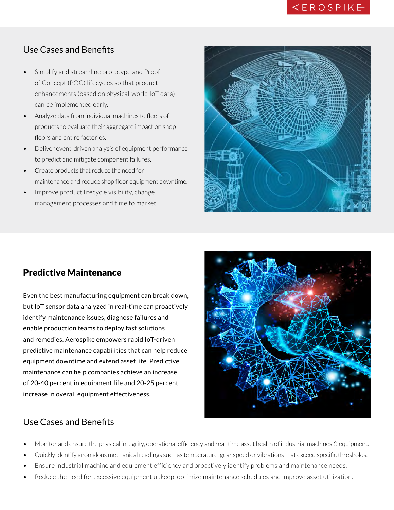### Use Cases and Benefits

- Simplify and streamline prototype and Proof of Concept (POC) lifecycles so that product enhancements (based on physical-world IoT data) can be implemented early.
- Analyze data from individual machines to fleets of products to evaluate their aggregate impact on shop floors and entire factories.
- Deliver event-driven analysis of equipment performance to predict and mitigate component failures.
- Create products that reduce the need for maintenance and reduce shop floor equipment downtime.
- Improve product lifecycle visibility, change management processes and time to market.



#### Predictive Maintenance

Even the best manufacturing equipment can break down, but IoT sensor data analyzed in real-time can proactively identify maintenance issues, diagnose failures and enable production teams to deploy fast solutions and remedies. Aerospike empowers rapid IoT-driven predictive maintenance capabilities that can help reduce equipment downtime and extend asset life. Predictive maintenance can help companies achieve an increase of 20-40 percent in equipment life and 20-25 percent increase in overall equipment effectiveness.



#### Use Cases and Benefits

- Monitor and ensure the physical integrity, operational efficiency and real-time asset health of industrial machines & equipment.
- Quickly identify anomalous mechanical readings such as temperature, gear speed or vibrations that exceed specific thresholds.
- Ensure industrial machine and equipment efficiency and proactively identify problems and maintenance needs.
- Reduce the need for excessive equipment upkeep, optimize maintenance schedules and improve asset utilization.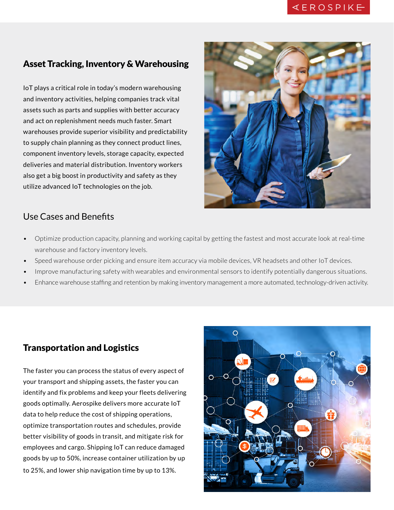#### Asset Tracking, Inventory & Warehousing

IoT plays a critical role in today's modern warehousing and inventory activities, helping companies track vital assets such as parts and supplies with better accuracy and act on replenishment needs much faster. Smart warehouses provide superior visibility and predictability to supply chain planning as they connect product lines, component inventory levels, storage capacity, expected deliveries and material distribution. Inventory workers also get a big boost in productivity and safety as they utilize advanced IoT technologies on the job.



#### Use Cases and Benefits

- Optimize production capacity, planning and working capital by getting the fastest and most accurate look at real-time warehouse and factory inventory levels.
- Speed warehouse order picking and ensure item accuracy via mobile devices, VR headsets and other IoT devices.
- Improve manufacturing safety with wearables and environmental sensors to identify potentially dangerous situations.
- Enhance warehouse staffing and retention by making inventory management a more automated, technology-driven activity.

#### Transportation and Logistics

The faster you can process the status of every aspect of your transport and shipping assets, the faster you can identify and fix problems and keep your fleets delivering goods optimally. Aerospike delivers more accurate IoT data to help reduce the cost of shipping operations, optimize transportation routes and schedules, provide better visibility of goods in transit, and mitigate risk for employees and cargo. Shipping IoT can reduce damaged goods by up to 50%, increase container utilization by up to 25%, and lower ship navigation time by up to 13%.